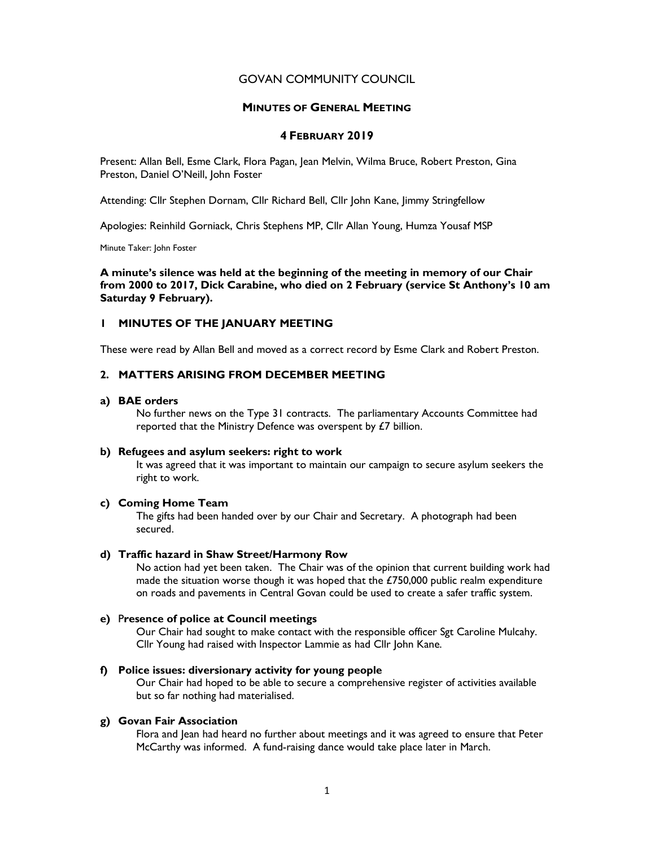# GOVAN COMMUNITY COUNCIL

# MINUTES OF GENERAL MEETING

# 4 FEBRUARY 2019

Present: Allan Bell, Esme Clark, Flora Pagan, Jean Melvin, Wilma Bruce, Robert Preston, Gina Preston, Daniel O'Neill, John Foster

Attending: Cllr Stephen Dornam, Cllr Richard Bell, Cllr John Kane, Jimmy Stringfellow

Apologies: Reinhild Gorniack, Chris Stephens MP, Cllr Allan Young, Humza Yousaf MSP

Minute Taker: John Foster

A minute's silence was held at the beginning of the meeting in memory of our Chair from 2000 to 2017, Dick Carabine, who died on 2 February (service St Anthony's 10 am Saturday 9 February).

# 1 MINUTES OF THE JANUARY MEETING

These were read by Allan Bell and moved as a correct record by Esme Clark and Robert Preston.

# 2. MATTERS ARISING FROM DECEMBER MEETING

### a) BAE orders

No further news on the Type 31 contracts. The parliamentary Accounts Committee had reported that the Ministry Defence was overspent by £7 billion.

#### b) Refugees and asylum seekers: right to work

It was agreed that it was important to maintain our campaign to secure asylum seekers the right to work.

# c) Coming Home Team

The gifts had been handed over by our Chair and Secretary. A photograph had been secured.

# d) Traffic hazard in Shaw Street/Harmony Row

No action had yet been taken. The Chair was of the opinion that current building work had made the situation worse though it was hoped that the  $£750,000$  public realm expenditure on roads and pavements in Central Govan could be used to create a safer traffic system.

# e) Presence of police at Council meetings

Our Chair had sought to make contact with the responsible officer Sgt Caroline Mulcahy. Cllr Young had raised with Inspector Lammie as had Cllr John Kane.

# f) Police issues: diversionary activity for young people

Our Chair had hoped to be able to secure a comprehensive register of activities available but so far nothing had materialised.

# g) Govan Fair Association

Flora and Jean had heard no further about meetings and it was agreed to ensure that Peter McCarthy was informed. A fund-raising dance would take place later in March.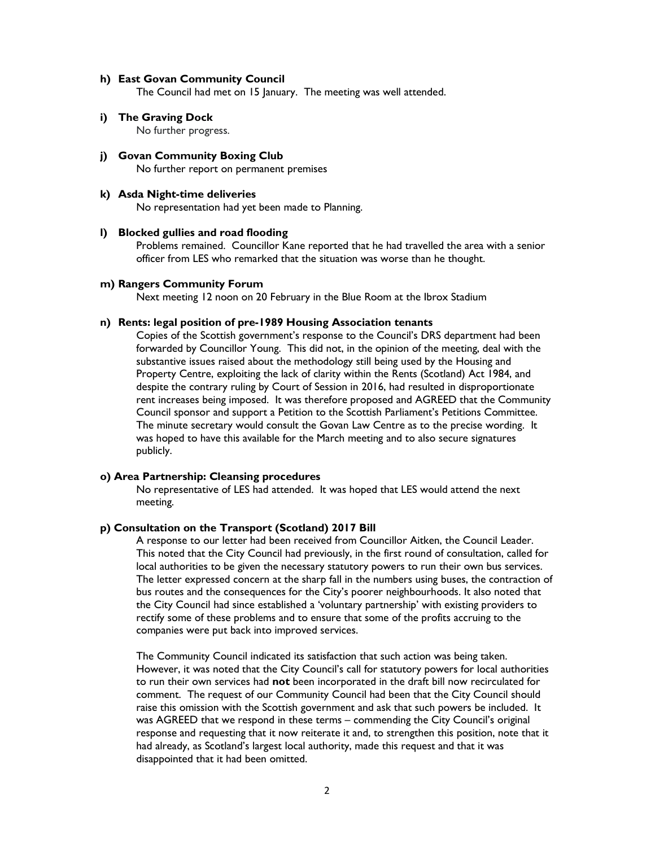#### h) East Govan Community Council

The Council had met on 15 January. The meeting was well attended.

- i) The Graving Dock No further progress.
- j) Govan Community Boxing Club No further report on permanent premises

#### k) Asda Night-time deliveries

No representation had yet been made to Planning.

### l) Blocked gullies and road flooding

Problems remained. Councillor Kane reported that he had travelled the area with a senior officer from LES who remarked that the situation was worse than he thought.

#### m) Rangers Community Forum

Next meeting 12 noon on 20 February in the Blue Room at the Ibrox Stadium

### n) Rents: legal position of pre-1989 Housing Association tenants

Copies of the Scottish government's response to the Council's DRS department had been forwarded by Councillor Young. This did not, in the opinion of the meeting, deal with the substantive issues raised about the methodology still being used by the Housing and Property Centre, exploiting the lack of clarity within the Rents (Scotland) Act 1984, and despite the contrary ruling by Court of Session in 2016, had resulted in disproportionate rent increases being imposed. It was therefore proposed and AGREED that the Community Council sponsor and support a Petition to the Scottish Parliament's Petitions Committee. The minute secretary would consult the Govan Law Centre as to the precise wording. It was hoped to have this available for the March meeting and to also secure signatures publicly.

# o) Area Partnership: Cleansing procedures

No representative of LES had attended. It was hoped that LES would attend the next meeting.

### p) Consultation on the Transport (Scotland) 2017 Bill

A response to our letter had been received from Councillor Aitken, the Council Leader. This noted that the City Council had previously, in the first round of consultation, called for local authorities to be given the necessary statutory powers to run their own bus services. The letter expressed concern at the sharp fall in the numbers using buses, the contraction of bus routes and the consequences for the City's poorer neighbourhoods. It also noted that the City Council had since established a 'voluntary partnership' with existing providers to rectify some of these problems and to ensure that some of the profits accruing to the companies were put back into improved services.

The Community Council indicated its satisfaction that such action was being taken. However, it was noted that the City Council's call for statutory powers for local authorities to run their own services had not been incorporated in the draft bill now recirculated for comment. The request of our Community Council had been that the City Council should raise this omission with the Scottish government and ask that such powers be included. It was AGREED that we respond in these terms – commending the City Council's original response and requesting that it now reiterate it and, to strengthen this position, note that it had already, as Scotland's largest local authority, made this request and that it was disappointed that it had been omitted.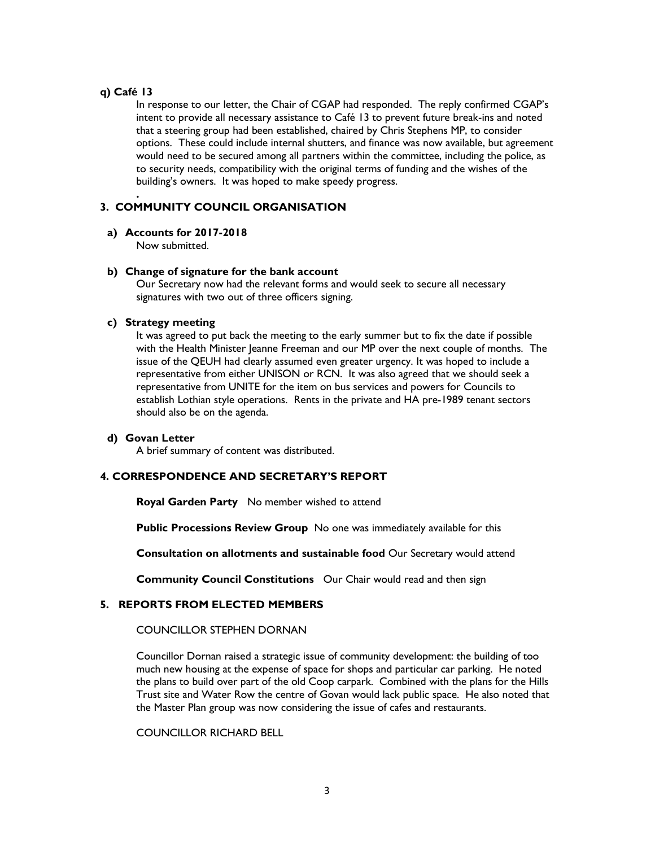# q) Café 13

.

In response to our letter, the Chair of CGAP had responded. The reply confirmed CGAP's intent to provide all necessary assistance to Café 13 to prevent future break-ins and noted that a steering group had been established, chaired by Chris Stephens MP, to consider options. These could include internal shutters, and finance was now available, but agreement would need to be secured among all partners within the committee, including the police, as to security needs, compatibility with the original terms of funding and the wishes of the building's owners. It was hoped to make speedy progress.

# 3. COMMUNITY COUNCIL ORGANISATION

### a) Accounts for 2017-2018

Now submitted.

# b) Change of signature for the bank account

Our Secretary now had the relevant forms and would seek to secure all necessary signatures with two out of three officers signing.

### c) Strategy meeting

It was agreed to put back the meeting to the early summer but to fix the date if possible with the Health Minister Jeanne Freeman and our MP over the next couple of months. The issue of the QEUH had clearly assumed even greater urgency. It was hoped to include a representative from either UNISON or RCN. It was also agreed that we should seek a representative from UNITE for the item on bus services and powers for Councils to establish Lothian style operations. Rents in the private and HA pre-1989 tenant sectors should also be on the agenda.

# d) Govan Letter

A brief summary of content was distributed.

# 4. CORRESPONDENCE AND SECRETARY'S REPORT

Royal Garden Party No member wished to attend

Public Processions Review Group No one was immediately available for this

Consultation on allotments and sustainable food Our Secretary would attend

Community Council Constitutions Our Chair would read and then sign

# 5. REPORTS FROM ELECTED MEMBERS

# COUNCILLOR STEPHEN DORNAN

Councillor Dornan raised a strategic issue of community development: the building of too much new housing at the expense of space for shops and particular car parking. He noted the plans to build over part of the old Coop carpark. Combined with the plans for the Hills Trust site and Water Row the centre of Govan would lack public space. He also noted that the Master Plan group was now considering the issue of cafes and restaurants.

COUNCILLOR RICHARD BELL